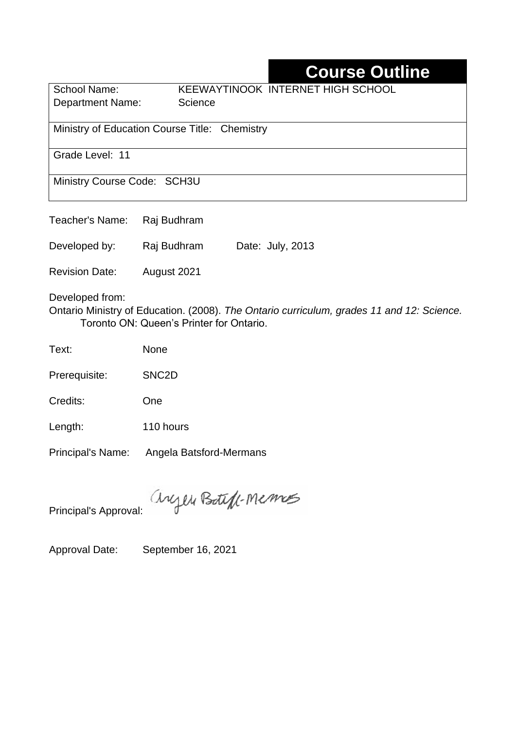## **Course Outline**

School Name: KEEWAYTINOOK INTERNET HIGH SCHOOL Department Name: Science

Ministry of Education Course Title:Chemistry

Grade Level: 11

Ministry Course Code: SCH3U

Teacher's Name: Raj Budhram

Developed by: Raj Budhram Date: July, 2013

Revision Date: August 2021

Developed from:

Ontario Ministry of Education. (2008). *The Ontario curriculum, grades 11 and 12: Science.*  Toronto ON: Queen's Printer for Ontario.

Text: None

Prerequisite: SNC2D

Credits: One

Length: 110 hours

Principal's Name: Angela Batsford-Mermans

anyen Boteff-Memos

Principal's Approval:

Approval Date: September 16, 2021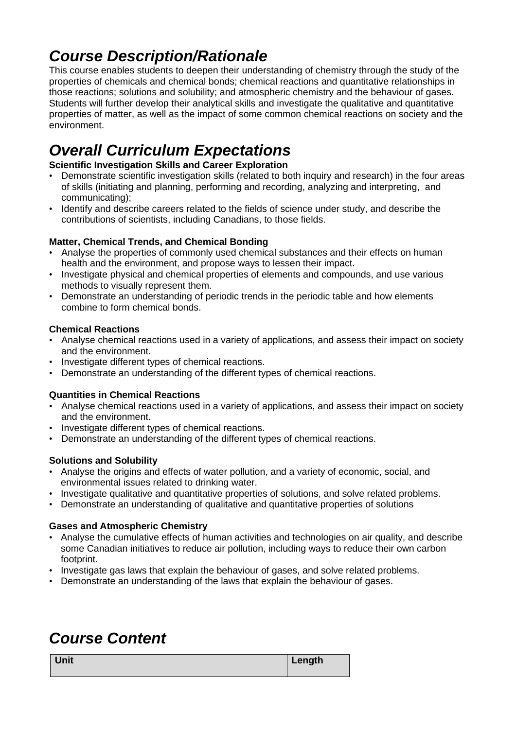# *Course Description/Rationale*

This course enables students to deepen their understanding of chemistry through the study of the properties of chemicals and chemical bonds; chemical reactions and quantitative relationships in those reactions; solutions and solubility; and atmospheric chemistry and the behaviour of gases. Students will further develop their analytical skills and investigate the qualitative and quantitative properties of matter, as well as the impact of some common chemical reactions on society and the environment.

# *Overall Curriculum Expectations*

#### **Scientific Investigation Skills and Career Exploration**

- Demonstrate scientific investigation skills (related to both inquiry and research) in the four areas of skills (initiating and planning, performing and recording, analyzing and interpreting, and communicating);
- Identify and describe careers related to the fields of science under study, and describe the contributions of scientists, including Canadians, to those fields.

#### **Matter, Chemical Trends, and Chemical Bonding**

- Analyse the properties of commonly used chemical substances and their effects on human health and the environment, and propose ways to lessen their impact.
- Investigate physical and chemical properties of elements and compounds, and use various methods to visually represent them.
- Demonstrate an understanding of periodic trends in the periodic table and how elements combine to form chemical bonds.

#### **Chemical Reactions**

- Analyse chemical reactions used in a variety of applications, and assess their impact on society and the environment.
- Investigate different types of chemical reactions.
- Demonstrate an understanding of the different types of chemical reactions.

#### **Quantities in Chemical Reactions**

- Analyse chemical reactions used in a variety of applications, and assess their impact on society and the environment.
- Investigate different types of chemical reactions.
- Demonstrate an understanding of the different types of chemical reactions.

#### **Solutions and Solubility**

- Analyse the origins and effects of water pollution, and a variety of economic, social, and environmental issues related to drinking water.
- Investigate qualitative and quantitative properties of solutions, and solve related problems.
- Demonstrate an understanding of qualitative and quantitative properties of solutions

#### **Gases and Atmospheric Chemistry**

- Analyse the cumulative effects of human activities and technologies on air quality, and describe some Canadian initiatives to reduce air pollution, including ways to reduce their own carbon footprint.
- Investigate gas laws that explain the behaviour of gases, and solve related problems.
- Demonstrate an understanding of the laws that explain the behaviour of gases.

### *Course Content*

**Unit Length**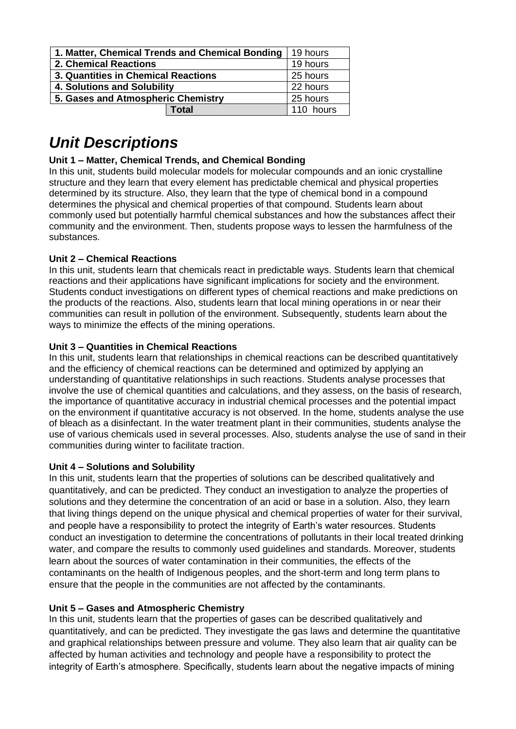| 1. Matter, Chemical Trends and Chemical Bonding | 19 hours  |
|-------------------------------------------------|-----------|
| <b>2. Chemical Reactions</b>                    | 19 hours  |
| 3. Quantities in Chemical Reactions             | 25 hours  |
| 4. Solutions and Solubility                     | 22 hours  |
| 5. Gases and Atmospheric Chemistry              | 25 hours  |
| Total                                           | 110 hours |

## *Unit Descriptions*

#### **Unit 1 – Matter, Chemical Trends, and Chemical Bonding**

In this unit, students build molecular models for molecular compounds and an ionic crystalline structure and they learn that every element has predictable chemical and physical properties determined by its structure. Also, they learn that the type of chemical bond in a compound determines the physical and chemical properties of that compound. Students learn about commonly used but potentially harmful chemical substances and how the substances affect their community and the environment. Then, students propose ways to lessen the harmfulness of the substances.

#### **Unit 2 – Chemical Reactions**

In this unit, students learn that chemicals react in predictable ways. Students learn that chemical reactions and their applications have significant implications for society and the environment. Students conduct investigations on different types of chemical reactions and make predictions on the products of the reactions. Also, students learn that local mining operations in or near their communities can result in pollution of the environment. Subsequently, students learn about the ways to minimize the effects of the mining operations.

#### **Unit 3 – Quantities in Chemical Reactions**

In this unit, students learn that relationships in chemical reactions can be described quantitatively and the efficiency of chemical reactions can be determined and optimized by applying an understanding of quantitative relationships in such reactions. Students analyse processes that involve the use of chemical quantities and calculations, and they assess, on the basis of research, the importance of quantitative accuracy in industrial chemical processes and the potential impact on the environment if quantitative accuracy is not observed. In the home, students analyse the use of bleach as a disinfectant. In the water treatment plant in their communities, students analyse the use of various chemicals used in several processes. Also, students analyse the use of sand in their communities during winter to facilitate traction.

#### **Unit 4 – Solutions and Solubility**

In this unit, students learn that the properties of solutions can be described qualitatively and quantitatively, and can be predicted. They conduct an investigation to analyze the properties of solutions and they determine the concentration of an acid or base in a solution. Also, they learn that living things depend on the unique physical and chemical properties of water for their survival, and people have a responsibility to protect the integrity of Earth's water resources. Students conduct an investigation to determine the concentrations of pollutants in their local treated drinking water, and compare the results to commonly used guidelines and standards. Moreover, students learn about the sources of water contamination in their communities, the effects of the contaminants on the health of Indigenous peoples, and the short-term and long term plans to ensure that the people in the communities are not affected by the contaminants.

#### **Unit 5 – Gases and Atmospheric Chemistry**

In this unit, students learn that the properties of gases can be described qualitatively and quantitatively, and can be predicted. They investigate the gas laws and determine the quantitative and graphical relationships between pressure and volume. They also learn that air quality can be affected by human activities and technology and people have a responsibility to protect the integrity of Earth's atmosphere. Specifically, students learn about the negative impacts of mining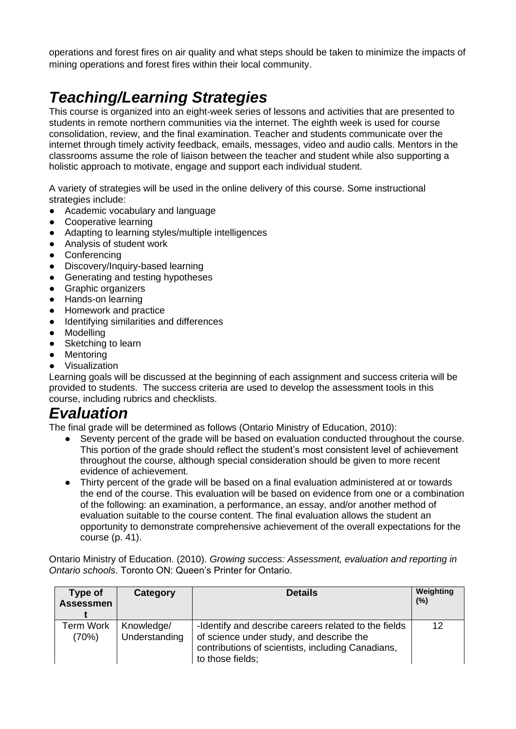operations and forest fires on air quality and what steps should be taken to minimize the impacts of mining operations and forest fires within their local community.

# *Teaching/Learning Strategies*

This course is organized into an eight-week series of lessons and activities that are presented to students in remote northern communities via the internet. The eighth week is used for course consolidation, review, and the final examination. Teacher and students communicate over the internet through timely activity feedback, emails, messages, video and audio calls. Mentors in the classrooms assume the role of liaison between the teacher and student while also supporting a holistic approach to motivate, engage and support each individual student.

A variety of strategies will be used in the online delivery of this course. Some instructional strategies include:

- Academic vocabulary and language
- **Cooperative learning**
- Adapting to learning styles/multiple intelligences
- Analysis of student work
- Conferencing
- Discovery/Inquiry-based learning
- Generating and testing hypotheses
- Graphic organizers
- Hands-on learning
- Homework and practice
- Identifying similarities and differences
- Modelling
- Sketching to learn
- Mentoring
- Visualization

Learning goals will be discussed at the beginning of each assignment and success criteria will be provided to students. The success criteria are used to develop the assessment tools in this course, including rubrics and checklists.

### *Evaluation*

The final grade will be determined as follows (Ontario Ministry of Education, 2010):

- Seventy percent of the grade will be based on evaluation conducted throughout the course. This portion of the grade should reflect the student's most consistent level of achievement throughout the course, although special consideration should be given to more recent evidence of achievement.
- Thirty percent of the grade will be based on a final evaluation administered at or towards the end of the course. This evaluation will be based on evidence from one or a combination of the following: an examination, a performance, an essay, and/or another method of evaluation suitable to the course content. The final evaluation allows the student an opportunity to demonstrate comprehensive achievement of the overall expectations for the course (p. 41).

Ontario Ministry of Education. (2010). *Growing success: Assessment, evaluation and reporting in Ontario schools*. Toronto ON: Queen's Printer for Ontario.

| Type of<br><b>Assessmen</b> | Category                    | <b>Details</b>                                                                                                                                                            | Weighting<br>(% ) |
|-----------------------------|-----------------------------|---------------------------------------------------------------------------------------------------------------------------------------------------------------------------|-------------------|
| <b>Term Work</b><br>(70%)   | Knowledge/<br>Understanding | -Identify and describe careers related to the fields<br>of science under study, and describe the<br>contributions of scientists, including Canadians,<br>to those fields; | 12                |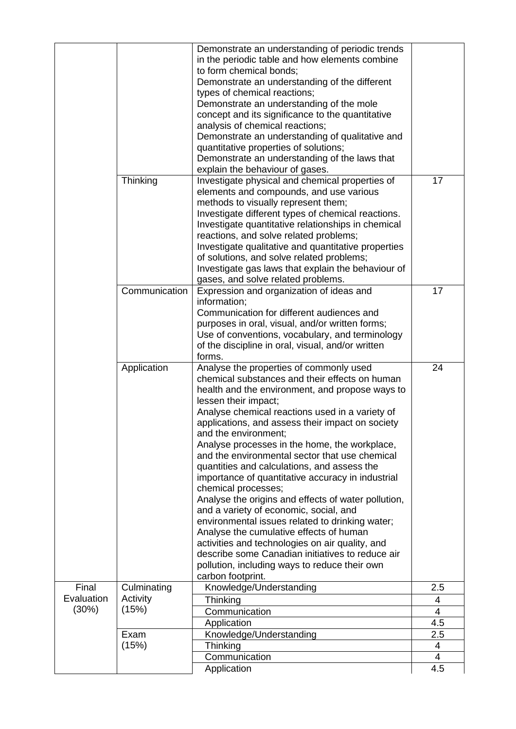|            |               | Demonstrate an understanding of periodic trends                                                 |          |
|------------|---------------|-------------------------------------------------------------------------------------------------|----------|
|            |               | in the periodic table and how elements combine                                                  |          |
|            |               | to form chemical bonds;                                                                         |          |
|            |               | Demonstrate an understanding of the different                                                   |          |
|            |               | types of chemical reactions;                                                                    |          |
|            |               | Demonstrate an understanding of the mole                                                        |          |
|            |               | concept and its significance to the quantitative                                                |          |
|            |               | analysis of chemical reactions;                                                                 |          |
|            |               | Demonstrate an understanding of qualitative and                                                 |          |
|            |               | quantitative properties of solutions;                                                           |          |
|            |               | Demonstrate an understanding of the laws that                                                   |          |
|            |               | explain the behaviour of gases.                                                                 |          |
|            | Thinking      | Investigate physical and chemical properties of                                                 | 17       |
|            |               | elements and compounds, and use various                                                         |          |
|            |               | methods to visually represent them;                                                             |          |
|            |               | Investigate different types of chemical reactions.                                              |          |
|            |               | Investigate quantitative relationships in chemical                                              |          |
|            |               | reactions, and solve related problems;                                                          |          |
|            |               | Investigate qualitative and quantitative properties                                             |          |
|            |               | of solutions, and solve related problems;                                                       |          |
|            |               | Investigate gas laws that explain the behaviour of                                              |          |
|            |               | gases, and solve related problems.                                                              |          |
|            | Communication | Expression and organization of ideas and                                                        | 17       |
|            |               | information;                                                                                    |          |
|            |               | Communication for different audiences and                                                       |          |
|            |               | purposes in oral, visual, and/or written forms;                                                 |          |
|            |               | Use of conventions, vocabulary, and terminology                                                 |          |
|            |               | of the discipline in oral, visual, and/or written                                               |          |
|            |               | forms.                                                                                          |          |
|            |               |                                                                                                 |          |
|            |               |                                                                                                 | 24       |
|            | Application   | Analyse the properties of commonly used<br>chemical substances and their effects on human       |          |
|            |               |                                                                                                 |          |
|            |               | health and the environment, and propose ways to                                                 |          |
|            |               | lessen their impact;                                                                            |          |
|            |               | Analyse chemical reactions used in a variety of                                                 |          |
|            |               | applications, and assess their impact on society<br>and the environment;                        |          |
|            |               |                                                                                                 |          |
|            |               | Analyse processes in the home, the workplace,<br>and the environmental sector that use chemical |          |
|            |               |                                                                                                 |          |
|            |               | quantities and calculations, and assess the                                                     |          |
|            |               | importance of quantitative accuracy in industrial<br>chemical processes;                        |          |
|            |               |                                                                                                 |          |
|            |               | Analyse the origins and effects of water pollution,                                             |          |
|            |               | and a variety of economic, social, and<br>environmental issues related to drinking water;       |          |
|            |               | Analyse the cumulative effects of human                                                         |          |
|            |               | activities and technologies on air quality, and                                                 |          |
|            |               | describe some Canadian initiatives to reduce air                                                |          |
|            |               | pollution, including ways to reduce their own                                                   |          |
|            |               | carbon footprint.                                                                               |          |
| Final      | Culminating   | Knowledge/Understanding                                                                         | 2.5      |
| Evaluation | Activity      | Thinking                                                                                        | 4        |
| (30%)      | (15%)         | Communication                                                                                   | 4        |
|            |               | Application                                                                                     | 4.5      |
|            | Exam          | Knowledge/Understanding                                                                         | 2.5      |
|            | (15%)         | Thinking                                                                                        | 4        |
|            |               | Communication<br>Application                                                                    | 4<br>4.5 |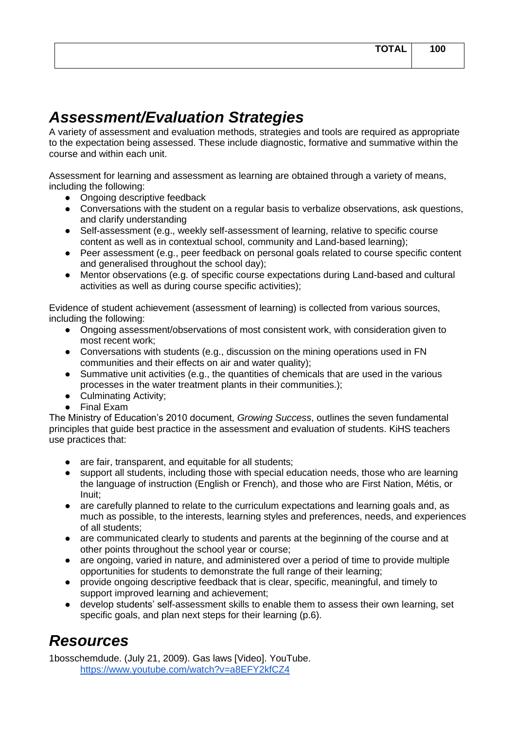## *Assessment/Evaluation Strategies*

A variety of assessment and evaluation methods, strategies and tools are required as appropriate to the expectation being assessed. These include diagnostic, formative and summative within the course and within each unit.

Assessment for learning and assessment as learning are obtained through a variety of means, including the following:

- Ongoing descriptive feedback
- Conversations with the student on a regular basis to verbalize observations, ask questions, and clarify understanding
- Self-assessment (e.g., weekly self-assessment of learning, relative to specific course content as well as in contextual school, community and Land-based learning);
- Peer assessment (e.g., peer feedback on personal goals related to course specific content and generalised throughout the school day);
- Mentor observations (e.g. of specific course expectations during Land-based and cultural activities as well as during course specific activities);

Evidence of student achievement (assessment of learning) is collected from various sources, including the following:

- Ongoing assessment/observations of most consistent work, with consideration given to most recent work;
- Conversations with students (e.g., discussion on the mining operations used in FN communities and their effects on air and water quality);
- Summative unit activities (e.g., the quantities of chemicals that are used in the various processes in the water treatment plants in their communities.);
- Culminating Activity:
- Final Exam

The Ministry of Education's 2010 document, *Growing Success*, outlines the seven fundamental principles that guide best practice in the assessment and evaluation of students. KiHS teachers use practices that:

- are fair, transparent, and equitable for all students;
- support all students, including those with special education needs, those who are learning the language of instruction (English or French), and those who are First Nation, Métis, or Inuit;
- are carefully planned to relate to the curriculum expectations and learning goals and, as much as possible, to the interests, learning styles and preferences, needs, and experiences of all students;
- are communicated clearly to students and parents at the beginning of the course and at other points throughout the school year or course;
- are ongoing, varied in nature, and administered over a period of time to provide multiple opportunities for students to demonstrate the full range of their learning;
- provide ongoing descriptive feedback that is clear, specific, meaningful, and timely to support improved learning and achievement;
- develop students' self-assessment skills to enable them to assess their own learning, set specific goals, and plan next steps for their learning (p.6).

### *Resources*

1bosschemdude. (July 21, 2009). Gas laws [Video]. YouTube. <https://www.youtube.com/watch?v=a8EFY2kfCZ4>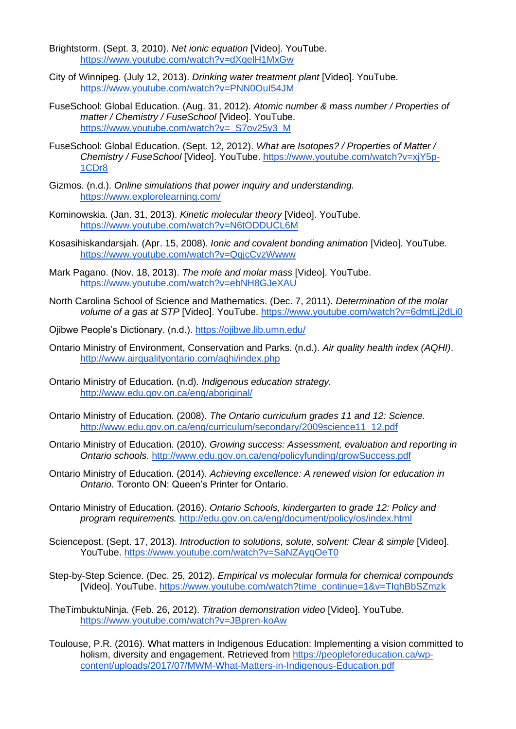- Brightstorm. (Sept. 3, 2010). *Net ionic equation* [Video]. YouTube. <https://www.youtube.com/watch?v=dXqelH1MxGw>
- City of Winnipeg. (July 12, 2013). *Drinking water treatment plant* [Video]. YouTube. <https://www.youtube.com/watch?v=PNN0OuI54JM>
- FuseSchool: Global Education. (Aug. 31, 2012). *Atomic number & mass number / Properties of matter / Chemistry / FuseSchool* [Video]. YouTube. [https://www.youtube.com/watch?v=\\_S7ov25y3\\_M](https://www.youtube.com/watch?v=_S7ov25y3_M)
- FuseSchool: Global Education. (Sept. 12, 2012). *What are Isotopes? / Properties of Matter / Chemistry / FuseSchool* [Video]. YouTube. [https://www.youtube.com/watch?v=xjY5p-](https://www.youtube.com/watch?v=xjY5p-1CDr8)[1CDr8](https://www.youtube.com/watch?v=xjY5p-1CDr8)
- Gizmos. (n.d.). *Online simulations that power inquiry and understanding.* <https://www.explorelearning.com/>
- Kominowskia. (Jan. 31, 2013). *Kinetic molecular theory* [Video]. YouTube. <https://www.youtube.com/watch?v=N6tODDUCL6M>
- Kosasihiskandarsjah. (Apr. 15, 2008). *Ionic and covalent bonding animation* [Video]. YouTube. <https://www.youtube.com/watch?v=QqjcCvzWwww>
- Mark Pagano. (Nov. 18, 2013). *The mole and molar mass* [Video]. YouTube. <https://www.youtube.com/watch?v=ebNH8GJeXAU>
- North Carolina School of Science and Mathematics. (Dec. 7, 2011). *Determination of the molar volume of a gas at STP* [Video]. YouTube.<https://www.youtube.com/watch?v=6dmtLj2dLi0>
- Ojibwe People's Dictionary. (n.d.).<https://ojibwe.lib.umn.edu/>
- Ontario Ministry of Environment, Conservation and Parks. (n.d.). *Air quality health index (AQHI)*. <http://www.airqualityontario.com/aqhi/index.php>
- Ontario Ministry of Education. (n.d). *Indigenous education strategy.* <http://www.edu.gov.on.ca/eng/aboriginal/>
- Ontario Ministry of Education. (2008). *The Ontario curriculum grades 11 and 12: Science.*  [http://www.edu.gov.on.ca/eng/curriculum/secondary/2009science11\\_12.pdf](http://www.edu.gov.on.ca/eng/curriculum/secondary/2009science11_12.pdf)
- Ontario Ministry of Education. (2010). *Growing success: Assessment, evaluation and reporting in Ontario schools*.<http://www.edu.gov.on.ca/eng/policyfunding/growSuccess.pdf>
- Ontario Ministry of Education. (2014). *Achieving excellence: A renewed vision for education in Ontario.* Toronto ON: Queen's Printer for Ontario.
- Ontario Ministry of Education. (2016). *Ontario Schools, kindergarten to grade 12: Policy and program requirements.* <http://edu.gov.on.ca/eng/document/policy/os/index.html>
- Sciencepost. (Sept. 17, 2013). *Introduction to solutions, solute, solvent: Clear & simple* [Video]. YouTube. <https://www.youtube.com/watch?v=SaNZAyqOeT0>
- Step-by-Step Science. (Dec. 25, 2012). *Empirical vs molecular formula for chemical compounds*  [Video]. YouTube. [https://www.youtube.com/watch?time\\_continue=1&v=TIqhBbSZmzk](https://www.youtube.com/watch?time_continue=1&v=TIqhBbSZmzk)
- TheTimbuktuNinja. (Feb. 26, 2012). *Titration demonstration video* [Video]. YouTube. <https://www.youtube.com/watch?v=JBpren-koAw>
- Toulouse, P.R. (2016). What matters in Indigenous Education: Implementing a vision committed to holism, diversity and engagement. Retrieved from [https://peopleforeducation.ca/wp](https://peopleforeducation.ca/wp-content/uploads/2017/07/MWM-What-Matters-in-Indigenous-Education.pdf)[content/uploads/2017/07/MWM-What-Matters-in-Indigenous-Education.pdf](https://peopleforeducation.ca/wp-content/uploads/2017/07/MWM-What-Matters-in-Indigenous-Education.pdf)